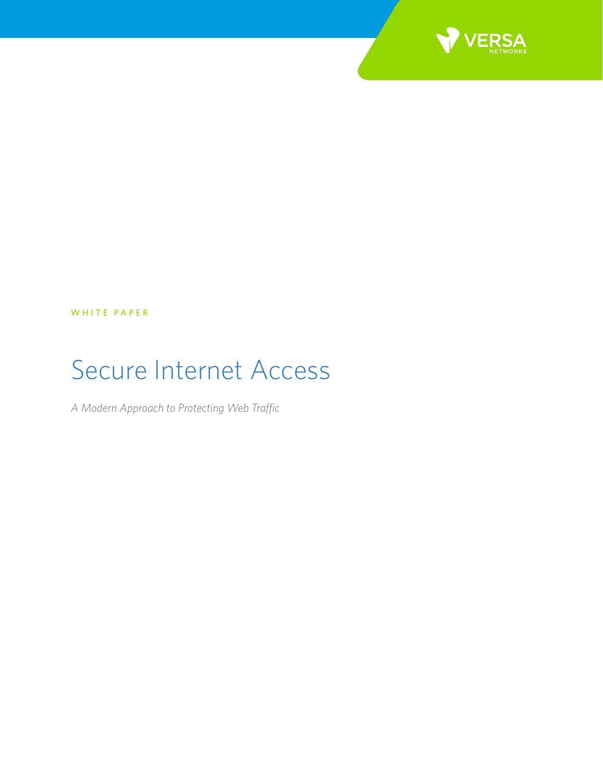

WHITE PAPER

# Secure Internet Access

*A Modern Approach to Protecting Web Traffic*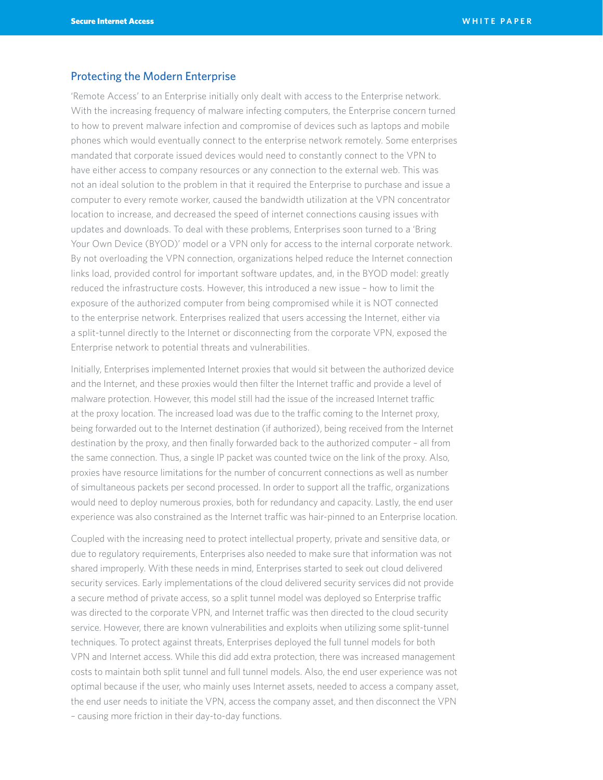### Protecting the Modern Enterprise

'Remote Access' to an Enterprise initially only dealt with access to the Enterprise network. With the increasing frequency of malware infecting computers, the Enterprise concern turned to how to prevent malware infection and compromise of devices such as laptops and mobile phones which would eventually connect to the enterprise network remotely. Some enterprises mandated that corporate issued devices would need to constantly connect to the VPN to have either access to company resources or any connection to the external web. This was not an ideal solution to the problem in that it required the Enterprise to purchase and issue a computer to every remote worker, caused the bandwidth utilization at the VPN concentrator location to increase, and decreased the speed of internet connections causing issues with updates and downloads. To deal with these problems, Enterprises soon turned to a 'Bring Your Own Device (BYOD)' model or a VPN only for access to the internal corporate network. By not overloading the VPN connection, organizations helped reduce the Internet connection links load, provided control for important software updates, and, in the BYOD model: greatly reduced the infrastructure costs. However, this introduced a new issue – how to limit the exposure of the authorized computer from being compromised while it is NOT connected to the enterprise network. Enterprises realized that users accessing the Internet, either via a split-tunnel directly to the Internet or disconnecting from the corporate VPN, exposed the Enterprise network to potential threats and vulnerabilities.

Initially, Enterprises implemented Internet proxies that would sit between the authorized device and the Internet, and these proxies would then filter the Internet traffic and provide a level of malware protection. However, this model still had the issue of the increased Internet traffic at the proxy location. The increased load was due to the traffic coming to the Internet proxy, being forwarded out to the Internet destination (if authorized), being received from the Internet destination by the proxy, and then finally forwarded back to the authorized computer – all from the same connection. Thus, a single IP packet was counted twice on the link of the proxy. Also, proxies have resource limitations for the number of concurrent connections as well as number of simultaneous packets per second processed. In order to support all the traffic, organizations would need to deploy numerous proxies, both for redundancy and capacity. Lastly, the end user experience was also constrained as the Internet traffic was hair-pinned to an Enterprise location.

Coupled with the increasing need to protect intellectual property, private and sensitive data, or due to regulatory requirements, Enterprises also needed to make sure that information was not shared improperly. With these needs in mind, Enterprises started to seek out cloud delivered security services. Early implementations of the cloud delivered security services did not provide a secure method of private access, so a split tunnel model was deployed so Enterprise traffic was directed to the corporate VPN, and Internet traffic was then directed to the cloud security service. However, there are known vulnerabilities and exploits when utilizing some split-tunnel techniques. To protect against threats, Enterprises deployed the full tunnel models for both VPN and Internet access. While this did add extra protection, there was increased management costs to maintain both split tunnel and full tunnel models. Also, the end user experience was not optimal because if the user, who mainly uses Internet assets, needed to access a company asset, the end user needs to initiate the VPN, access the company asset, and then disconnect the VPN – causing more friction in their day-to-day functions.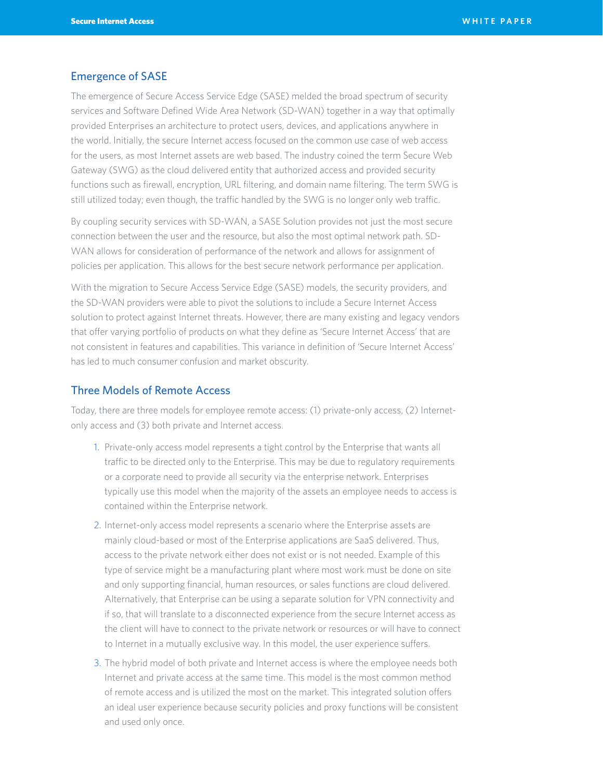#### Emergence of SASE

The emergence of Secure Access Service Edge (SASE) melded the broad spectrum of security services and Software Defined Wide Area Network (SD-WAN) together in a way that optimally provided Enterprises an architecture to protect users, devices, and applications anywhere in the world. Initially, the secure Internet access focused on the common use case of web access for the users, as most Internet assets are web based. The industry coined the term Secure Web Gateway (SWG) as the cloud delivered entity that authorized access and provided security functions such as firewall, encryption, URL filtering, and domain name filtering. The term SWG is still utilized today; even though, the traffic handled by the SWG is no longer only web traffic.

By coupling security services with SD-WAN, a SASE Solution provides not just the most secure connection between the user and the resource, but also the most optimal network path. SD-WAN allows for consideration of performance of the network and allows for assignment of policies per application. This allows for the best secure network performance per application.

With the migration to Secure Access Service Edge (SASE) models, the security providers, and the SD-WAN providers were able to pivot the solutions to include a Secure Internet Access solution to protect against Internet threats. However, there are many existing and legacy vendors that offer varying portfolio of products on what they define as 'Secure Internet Access' that are not consistent in features and capabilities. This variance in definition of 'Secure Internet Access' has led to much consumer confusion and market obscurity.

# Three Models of Remote Access

Today, there are three models for employee remote access: (1) private-only access, (2) Internetonly access and (3) both private and Internet access.

- 1. Private-only access model represents a tight control by the Enterprise that wants all traffic to be directed only to the Enterprise. This may be due to regulatory requirements or a corporate need to provide all security via the enterprise network. Enterprises typically use this model when the majority of the assets an employee needs to access is contained within the Enterprise network.
- 2. Internet-only access model represents a scenario where the Enterprise assets are mainly cloud-based or most of the Enterprise applications are SaaS delivered. Thus, access to the private network either does not exist or is not needed. Example of this type of service might be a manufacturing plant where most work must be done on site and only supporting financial, human resources, or sales functions are cloud delivered. Alternatively, that Enterprise can be using a separate solution for VPN connectivity and if so, that will translate to a disconnected experience from the secure Internet access as the client will have to connect to the private network or resources or will have to connect to Internet in a mutually exclusive way. In this model, the user experience suffers.
- 3. The hybrid model of both private and Internet access is where the employee needs both Internet and private access at the same time. This model is the most common method of remote access and is utilized the most on the market. This integrated solution offers an ideal user experience because security policies and proxy functions will be consistent and used only once.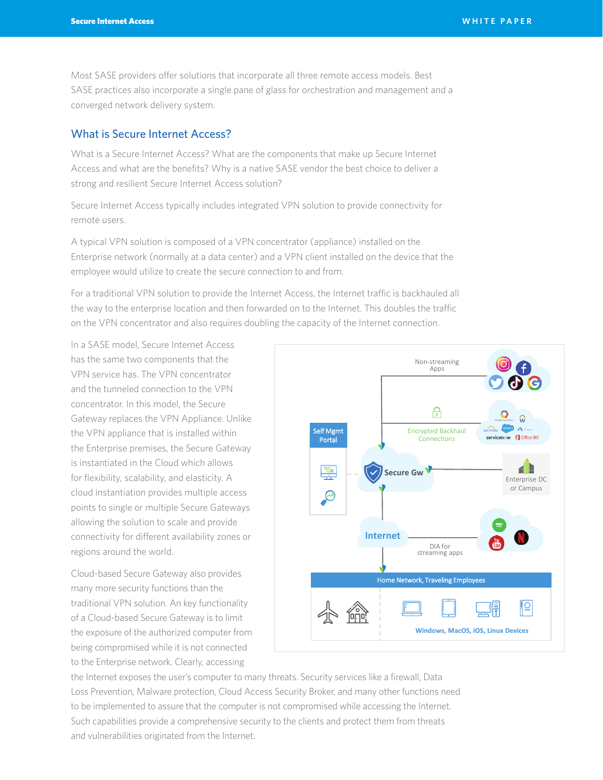Most SASE providers offer solutions that incorporate all three remote access models. Best SASE practices also incorporate a single pane of glass for orchestration and management and a converged network delivery system.

### What is Secure Internet Access?

What is a Secure Internet Access? What are the components that make up Secure Internet Access and what are the benefits? Why is a native SASE vendor the best choice to deliver a strong and resilient Secure Internet Access solution?

Secure Internet Access typically includes integrated VPN solution to provide connectivity for remote users.

A typical VPN solution is composed of a VPN concentrator (appliance) installed on the Enterprise network (normally at a data center) and a VPN client installed on the device that the employee would utilize to create the secure connection to and from.

For a traditional VPN solution to provide the Internet Access, the Internet traffic is backhauled all the way to the enterprise location and then forwarded on to the Internet. This doubles the traffic on the VPN concentrator and also requires doubling the capacity of the Internet connection.

In a SASE model, Secure Internet Access has the same two components that the VPN service has. The VPN concentrator and the tunneled connection to the VPN concentrator. In this model, the Secure Gateway replaces the VPN Appliance. Unlike the VPN appliance that is installed within the Enterprise premises, the Secure Gateway is instantiated in the Cloud which allows for flexibility, scalability, and elasticity. A cloud instantiation provides multiple access points to single or multiple Secure Gateways allowing the solution to scale and provide connectivity for different availability zones or regions around the world.

Cloud-based Secure Gateway also provides many more security functions than the traditional VPN solution. An key functionality of a Cloud-based Secure Gateway is to limit the exposure of the authorized computer from being compromised while it is not connected to the Enterprise network. Clearly, accessing



the Internet exposes the user's computer to many threats. Security services like a firewall, Data Loss Prevention, Malware protection, Cloud Access Security Broker, and many other functions need to be implemented to assure that the computer is not compromised while accessing the Internet. Such capabilities provide a comprehensive security to the clients and protect them from threats and vulnerabilities originated from the Internet.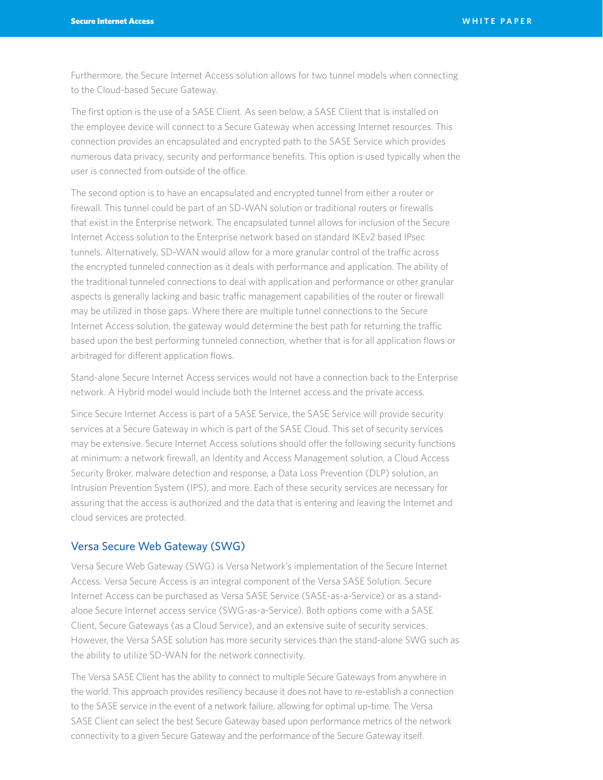Furthermore, the Secure Internet Access solution allows for two tunnel models when connecting to the Cloud-based Secure Gateway.

The first option is the use of a SASE Client. As seen below, a SASE Client that is installed on the employee device will connect to a Secure Gateway when accessing Internet resources. This connection provides an encapsulated and encrypted path to the SASE Service which provides numerous data privacy, security and performance benefits. This option is used typically when the user is connected from outside of the office.

The second option is to have an encapsulated and encrypted tunnel from either a router or firewall. This tunnel could be part of an SD-WAN solution or traditional routers or firewalls that exist in the Enterprise network. The encapsulated tunnel allows for inclusion of the Secure Internet Access solution to the Enterprise network based on standard IKEv2 based IPsec tunnels. Alternatively, SD-WAN would allow for a more granular control of the traffic across the encrypted tunneled connection as it deals with performance and application. The ability of the traditional tunneled connections to deal with application and performance or other granular aspects is generally lacking and basic traffic management capabilities of the router or firewall may be utilized in those gaps. Where there are multiple tunnel connections to the Secure Internet Access solution, the gateway would determine the best path for returning the traffic based upon the best performing tunneled connection, whether that is for all application flows or arbitraged for different application flows.

Stand-alone Secure Internet Access services would not have a connection back to the Enterprise network. A Hybrid model would include both the Internet access and the private access.

Since Secure Internet Access is part of a SASE Service, the SASE Service will provide security services at a Secure Gateway in which is part of the SASE Cloud. This set of security services may be extensive. Secure Internet Access solutions should offer the following security functions at minimum: a network firewall, an Identity and Access Management solution, a Cloud Access Security Broker, malware detection and response, a Data Loss Prevention (DLP) solution, an Intrusion Prevention System (IPS), and more. Each of these security services are necessary for assuring that the access is authorized and the data that is entering and leaving the Internet and cloud services are protected.

#### Versa Secure Web Gateway (SWG)

Versa Secure Web Gateway (SWG) is Versa Network's implementation of the Secure Internet Access. Versa Secure Access is an integral component of the Versa SASE Solution. Secure Internet Access can be purchased as Versa SASE Service (SASE-as-a-Service) or as a standalone Secure Internet access service (SWG-as-a-Service). Both options come with a SASE Client, Secure Gateways (as a Cloud Service), and an extensive suite of security services. However, the Versa SASE solution has more security services than the stand-alone SWG such as the ability to utilize SD-WAN for the network connectivity.

The Versa SASE Client has the ability to connect to multiple Secure Gateways from anywhere in the world. This approach provides resiliency because it does not have to re-establish a connection to the SASE service in the event of a network failure, allowing for optimal up-time. The Versa SASE Client can select the best Secure Gateway based upon performance metrics of the network connectivity to a given Secure Gateway and the performance of the Secure Gateway itself.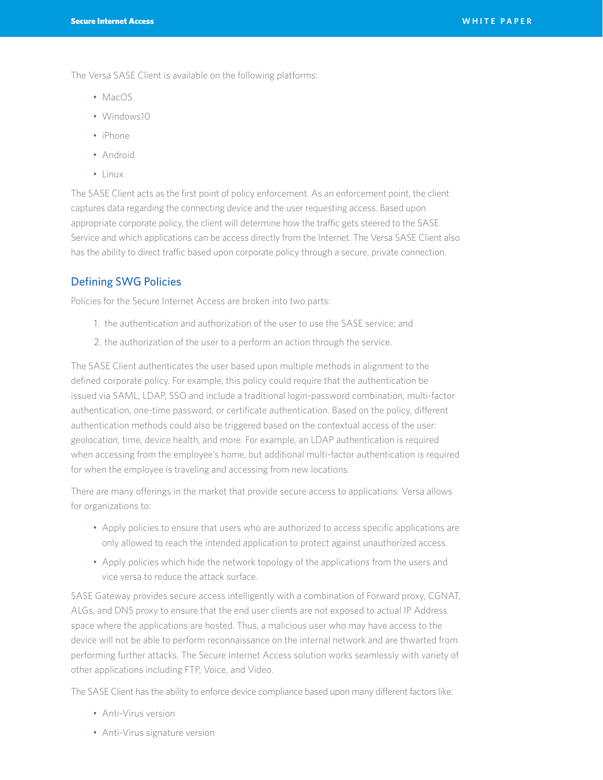The Versa SASE Client is available on the following platforms:

- MacOS
- Windows10
- iPhone
- Android
- Linux

The SASE Client acts as the first point of policy enforcement. As an enforcement point, the client captures data regarding the connecting device and the user requesting access. Based upon appropriate corporate policy, the client will determine how the traffic gets steered to the SASE Service and which applications can be access directly from the Internet. The Versa SASE Client also has the ability to direct traffic based upon corporate policy through a secure, private connection.

# Defining SWG Policies

Policies for the Secure Internet Access are broken into two parts:

- 1. the authentication and authorization of the user to use the SASE service; and
- 2. the authorization of the user to a perform an action through the service.

The SASE Client authenticates the user based upon multiple methods in alignment to the defined corporate policy. For example, this policy could require that the authentication be issued via SAML, LDAP, SSO and include a traditional login-password combination, multi-factor authentication, one-time password, or certificate authentication. Based on the policy, different authentication methods could also be triggered based on the contextual access of the user: geolocation, time, device health, and more. For example, an LDAP authentication is required when accessing from the employee's home, but additional multi-factor authentication is required for when the employee is traveling and accessing from new locations.

There are many offerings in the market that provide secure access to applications. Versa allows for organizations to:

- Apply policies to ensure that users who are authorized to access specific applications are only allowed to reach the intended application to protect against unauthorized access.
- Apply policies which hide the network topology of the applications from the users and vice versa to reduce the attack surface.

SASE Gateway provides secure access intelligently with a combination of Forward proxy, CGNAT, ALGs, and DNS proxy to ensure that the end user clients are not exposed to actual IP Address space where the applications are hosted. Thus, a malicious user who may have access to the device will not be able to perform reconnaissance on the internal network and are thwarted from performing further attacks. The Secure Internet Access solution works seamlessly with variety of other applications including FTP, Voice, and Video.

The SASE Client has the ability to enforce device compliance based upon many different factors like:

- Anti-Virus version
- Anti-Virus signature version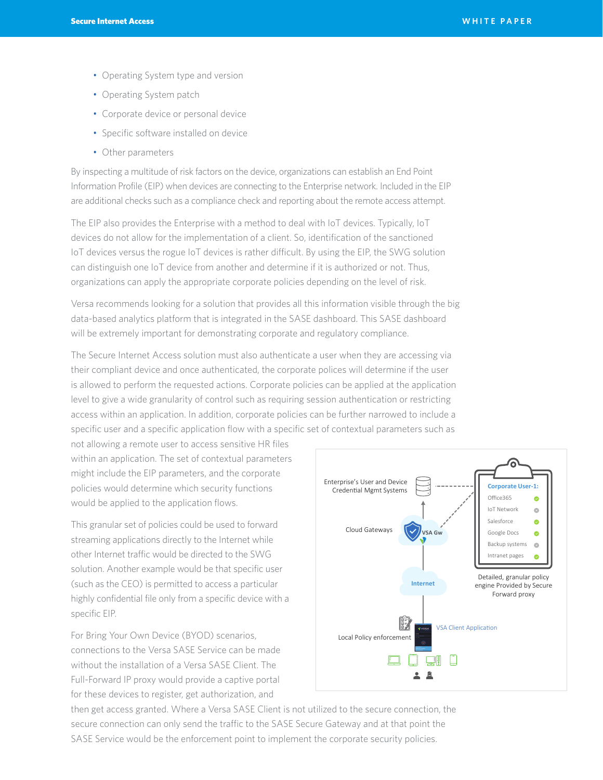- Operating System type and version
- Operating System patch
- Corporate device or personal device
- Specific software installed on device
- Other parameters

By inspecting a multitude of risk factors on the device, organizations can establish an End Point Information Profile (EIP) when devices are connecting to the Enterprise network. Included in the EIP are additional checks such as a compliance check and reporting about the remote access attempt.

The EIP also provides the Enterprise with a method to deal with IoT devices. Typically, IoT devices do not allow for the implementation of a client. So, identification of the sanctioned IoT devices versus the rogue IoT devices is rather difficult. By using the EIP, the SWG solution can distinguish one IoT device from another and determine if it is authorized or not. Thus, organizations can apply the appropriate corporate policies depending on the level of risk.

Versa recommends looking for a solution that provides all this information visible through the big data-based analytics platform that is integrated in the SASE dashboard. This SASE dashboard will be extremely important for demonstrating corporate and regulatory compliance.

The Secure Internet Access solution must also authenticate a user when they are accessing via their compliant device and once authenticated, the corporate polices will determine if the user is allowed to perform the requested actions. Corporate policies can be applied at the application level to give a wide granularity of control such as requiring session authentication or restricting access within an application. In addition, corporate policies can be further narrowed to include a specific user and a specific application flow with a specific set of contextual parameters such as

not allowing a remote user to access sensitive HR files within an application. The set of contextual parameters might include the EIP parameters, and the corporate policies would determine which security functions would be applied to the application flows.

This granular set of policies could be used to forward streaming applications directly to the Internet while other Internet traffic would be directed to the SWG solution. Another example would be that specific user (such as the CEO) is permitted to access a particular highly confidential file only from a specific device with a specific EIP.

For Bring Your Own Device (BYOD) scenarios, connections to the Versa SASE Service can be made without the installation of a Versa SASE Client. The Full-Forward IP proxy would provide a captive portal for these devices to register, get authorization, and



then get access granted. Where a Versa SASE Client is not utilized to the secure connection, the secure connection can only send the traffic to the SASE Secure Gateway and at that point the SASE Service would be the enforcement point to implement the corporate security policies.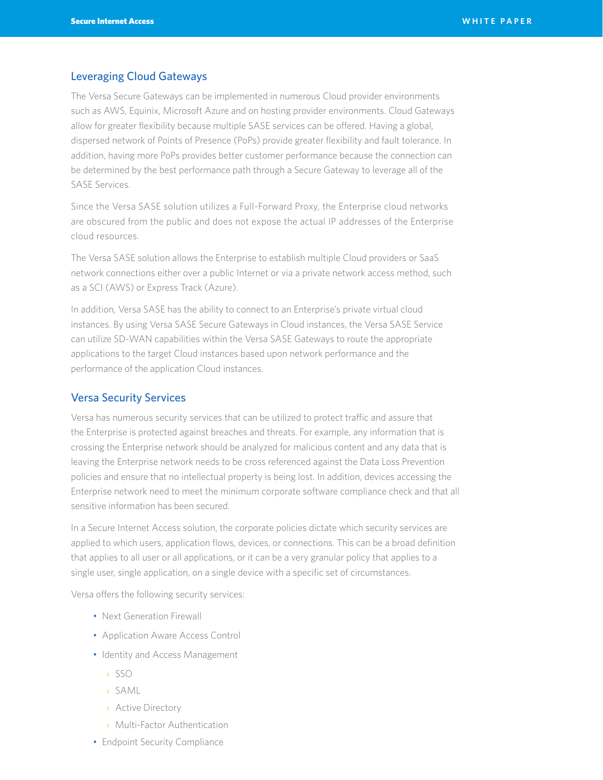## Leveraging Cloud Gateways

The Versa Secure Gateways can be implemented in numerous Cloud provider environments such as AWS, Equinix, Microsoft Azure and on hosting provider environments. Cloud Gateways allow for greater flexibility because multiple SASE services can be offered. Having a global, dispersed network of Points of Presence (PoPs) provide greater flexibility and fault tolerance. In addition, having more PoPs provides better customer performance because the connection can be determined by the best performance path through a Secure Gateway to leverage all of the SASE Services.

Since the Versa SASE solution utilizes a Full-Forward Proxy, the Enterprise cloud networks are obscured from the public and does not expose the actual IP addresses of the Enterprise cloud resources.

The Versa SASE solution allows the Enterprise to establish multiple Cloud providers or SaaS network connections either over a public Internet or via a private network access method, such as a SCI (AWS) or Express Track (Azure).

In addition, Versa SASE has the ability to connect to an Enterprise's private virtual cloud instances. By using Versa SASE Secure Gateways in Cloud instances, the Versa SASE Service can utilize SD-WAN capabilities within the Versa SASE Gateways to route the appropriate applications to the target Cloud instances based upon network performance and the performance of the application Cloud instances.

#### Versa Security Services

Versa has numerous security services that can be utilized to protect traffic and assure that the Enterprise is protected against breaches and threats. For example, any information that is crossing the Enterprise network should be analyzed for malicious content and any data that is leaving the Enterprise network needs to be cross referenced against the Data Loss Prevention policies and ensure that no intellectual property is being lost. In addition, devices accessing the Enterprise network need to meet the minimum corporate software compliance check and that all sensitive information has been secured.

In a Secure Internet Access solution, the corporate policies dictate which security services are applied to which users, application flows, devices, or connections. This can be a broad definition that applies to all user or all applications, or it can be a very granular policy that applies to a single user, single application, on a single device with a specific set of circumstances.

Versa offers the following security services:

- Next Generation Firewall
- Application Aware Access Control
- Identity and Access Management
	- › SSO
	- › SAML
	- › Active Directory
	- › Multi-Factor Authentication
- Endpoint Security Compliance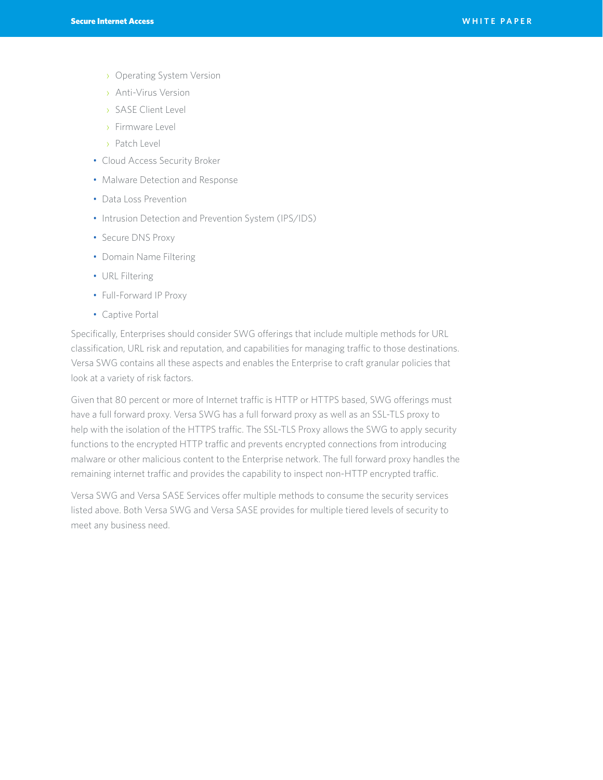- › Operating System Version
- › Anti-Virus Version
- › SASE Client Level
- › Firmware Level
- › Patch Level
- Cloud Access Security Broker
- Malware Detection and Response
- Data Loss Prevention
- Intrusion Detection and Prevention System (IPS/IDS)
- Secure DNS Proxy
- Domain Name Filtering
- URL Filtering
- Full-Forward IP Proxy
- Captive Portal

Specifically, Enterprises should consider SWG offerings that include multiple methods for URL classification, URL risk and reputation, and capabilities for managing traffic to those destinations. Versa SWG contains all these aspects and enables the Enterprise to craft granular policies that look at a variety of risk factors.

Given that 80 percent or more of Internet traffic is HTTP or HTTPS based, SWG offerings must have a full forward proxy. Versa SWG has a full forward proxy as well as an SSL-TLS proxy to help with the isolation of the HTTPS traffic. The SSL-TLS Proxy allows the SWG to apply security functions to the encrypted HTTP traffic and prevents encrypted connections from introducing malware or other malicious content to the Enterprise network. The full forward proxy handles the remaining internet traffic and provides the capability to inspect non-HTTP encrypted traffic.

Versa SWG and Versa SASE Services offer multiple methods to consume the security services listed above. Both Versa SWG and Versa SASE provides for multiple tiered levels of security to meet any business need.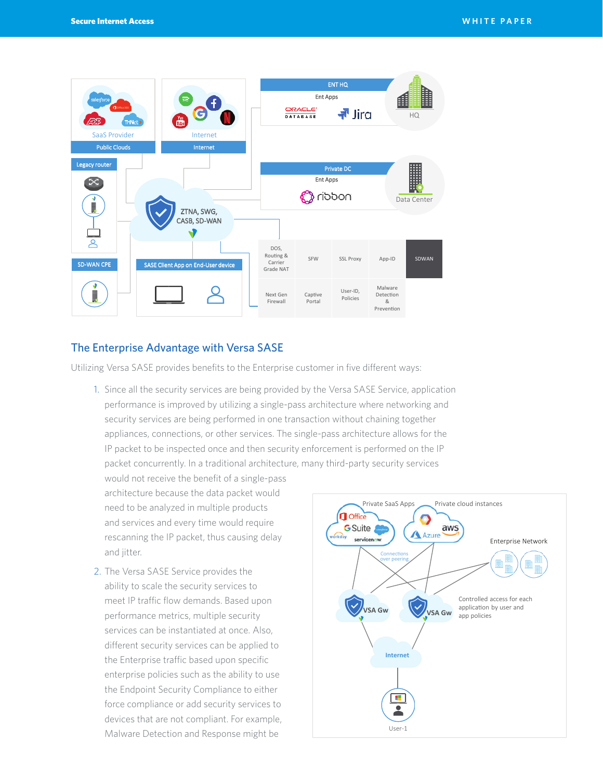

## The Enterprise Advantage with Versa SASE

Utilizing Versa SASE provides benefits to the Enterprise customer in five different ways:

- 1. Since all the security services are being provided by the Versa SASE Service, application performance is improved by utilizing a single-pass architecture where networking and security services are being performed in one transaction without chaining together appliances, connections, or other services. The single-pass architecture allows for the IP packet to be inspected once and then security enforcement is performed on the IP packet concurrently. In a traditional architecture, many third-party security services
	- would not receive the benefit of a single-pass architecture because the data packet would need to be analyzed in multiple products and services and every time would require rescanning the IP packet, thus causing delay and jitter.
- 2. The Versa SASE Service provides the ability to scale the security services to meet IP traffic flow demands. Based upon performance metrics, multiple security services can be instantiated at once. Also, different security services can be applied to the Enterprise traffic based upon specific enterprise policies such as the ability to use the Endpoint Security Compliance to either force compliance or add security services to devices that are not compliant. For example, Malware Detection and Response might be

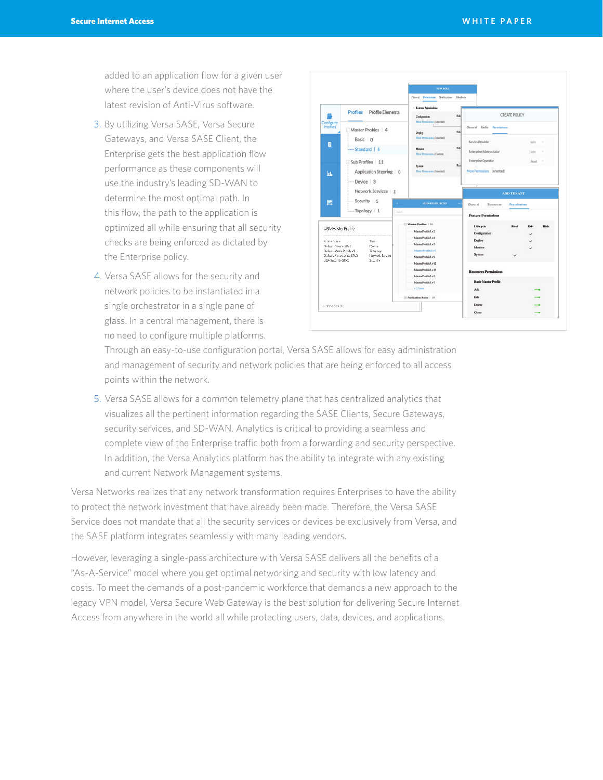added to an application flow for a given user where the user's device does not have the latest revision of Anti-Virus software.

- 3. By utilizing Versa SASE, Versa Secure Gateways, and Versa SASE Client, the Enterprise gets the best application flow performance as these components will use the industry's leading SD-WAN to determine the most optimal path. In this flow, the path to the application is optimized all while ensuring that all security checks are being enforced as dictated by the Enterprise policy.
- 4. Versa SASE allows for the security and network policies to be instantiated in a single orchestrator in a single pane of glass. In a central management, there is no need to configure multiple platforms.



Through an easy-to-use configuration portal, Versa SASE allows for easy administration and management of security and network policies that are being enforced to all access points within the network.

5. Versa SASE allows for a common telemetry plane that has centralized analytics that visualizes all the pertinent information regarding the SASE Clients, Secure Gateways, security services, and SD-WAN. Analytics is critical to providing a seamless and complete view of the Enterprise traffic both from a forwarding and security perspective. In addition, the Versa Analytics platform has the ability to integrate with any existing and current Network Management systems.

Versa Networks realizes that any network transformation requires Enterprises to have the ability to protect the network investment that have already been made. Therefore, the Versa SASE Service does not mandate that all the security services or devices be exclusively from Versa, and the SASE platform integrates seamlessly with many leading vendors.

However, leveraging a single-pass architecture with Versa SASE delivers all the benefits of a "As-A-Service" model where you get optimal networking and security with low latency and costs. To meet the demands of a post-pandemic workforce that demands a new approach to the legacy VPN model, Versa Secure Web Gateway is the best solution for delivering Secure Internet Access from anywhere in the world all while protecting users, data, devices, and applications.